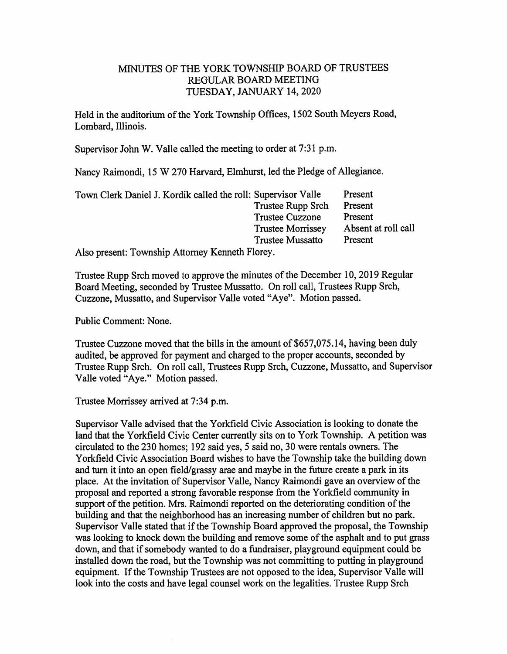## MINUTES OF THE YORK TOWNSHIP BOARD OF TRUSTEES REGULAR BOARD MEETING TUESDAY, JANUARY 14, 2020

Held in the auditorium of the York Township Offices, 1502 South Meyers Road, Lombard, Illinois.

Supervisor John W. Valle called the meeting to order at 7:31 p.m.

Nancy Raimondi, 15 W 270 Harvard, Elmhurst, led the Pledge of Allegiance.

| Town Clerk Daniel J. Kordik called the roll: Supervisor Valle |                          | Present             |
|---------------------------------------------------------------|--------------------------|---------------------|
|                                                               | Trustee Rupp Srch        | Present             |
|                                                               | <b>Trustee Cuzzone</b>   | Present             |
|                                                               | <b>Trustee Morrissey</b> | Absent at roll call |
|                                                               | <b>Trustee Mussatto</b>  | Present             |
| Algo procent: Tournghin Attorney Kannath Florey               |                          |                     |

Also present: Township Attorney Kenneth Florey.

Trustee Rupp Srch moved to approve the minutes of the December 10,2019 Regular Board Meeting, seconded by Trustee Mussatto. On roll call. Trustees Rupp Srch, Cuzzone, Mussatto, and Supervisor Valle voted "Aye". Motion passed.

Public Comment: None.

Trustee Cuzzone moved that the bills in the amount of \$657,075.14, having been duly audited, be approved for payment and charged to the proper accounts, seconded by Trustee Rupp Srch. On roll call. Trustees Rupp Srch, Cuzzone, Mussatto, and Supervisor Valle voted "Aye." Motion passed.

Trustee Morrissey arrived at 7:34 p.m.

Supervisor Valle advised that the Yorkfield Civic Association is looking to donate the land that the Yorkfield Civic Center currently sits on to York Township. A petition was circulated to the 230 homes; 192 said yes, 5 said no, 30 were rentals owners. The Yorkfield Civic Association Board wishes to have the Township take the building down and turn it into an open field/grassy arae and maybe in the future create a park in its place. At the invitation of Supervisor Valle, Nancy Raimondi gave an overview of the proposal and reported a strong favorable response from the Yorkfield community in support of the petition. Mrs. Raimondi reported on the deteriorating condition of the building and that the neighborhood has an increasing number of children but no park. Supervisor Valle stated that if the Township Board approved the proposal, the Township was looking to knock down the building and remove some of the asphalt and to put grass down, and that if somebody wanted to do a fundraiser, playground equipment could be installed down the road, but the Township was not committing to putting in playground equipment. If the Tovmship Trustees are not opposed to the idea, Supervisor Valle will look into the costs and have legal counsel work on the legalities. Trustee Rupp Srch